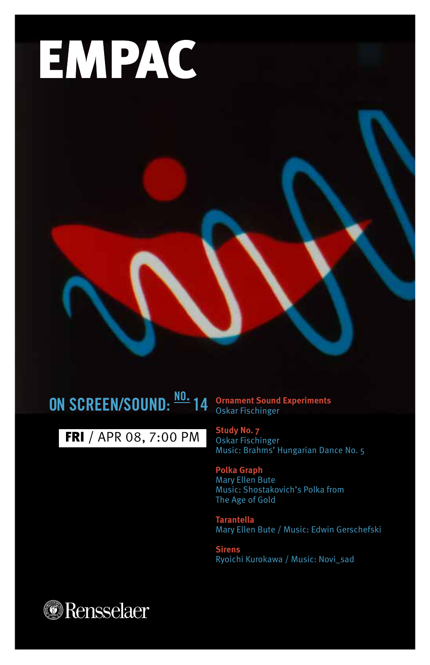

# **ON SCREEN/SOUND: no. 14**

FRI / APR 08, 7:00 PM

**Ornament Sound Experiments** Oskar Fischinger

**Study No. 7** Oskar Fischinger Music: Brahms' Hungarian Dance No. 5

**Polka Graph** Mary Ellen Bute Music: Shostakovich's Polka from The Age of Gold

**Tarantella**  Mary Ellen Bute / Music: Edwin Gerschefski

**Sirens**  Ryoichi Kurokawa / Music: Novi\_sad

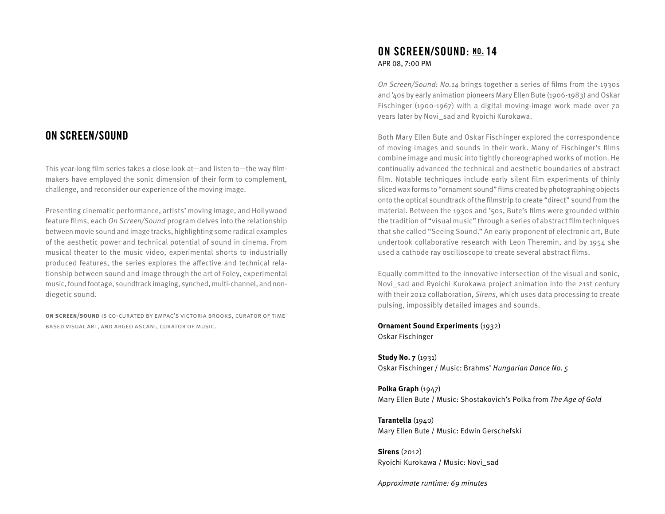# **ON SCREEN/SOUND**

This year-long film series takes a close look at—and listen to—the way filmmakers have employed the sonic dimension of their form to complement, challenge, and reconsider our experience of the moving image.

Presenting cinematic performance, artists' moving image, and Hollywood feature films, each On Screen/Sound program delves into the relationship between movie sound and image tracks, highlighting some radical examples of the aesthetic power and technical potential of sound in cinema. From musical theater to the music video, experimental shorts to industrially produced features, the series explores the affective and technical relationship between sound and image through the art of Foley, experimental music, found footage, soundtrack imaging, synched, multi-channel, and nondiegetic sound.

**on screen/sound** is co-curated by empac's victoria brooks, curator of time based visual art, and argeo ascani, curator of music.

# **ON SCREEN/SOUND: no. 14**  APR 08, 7:00 PM

On Screen/Sound: No.14 brings together a series of films from the 1930s and '40s by early animation pioneers Mary Ellen Bute (1906-1983) and Oskar Fischinger (1900-1967) with a digital moving-image work made over 70 years later by Novi\_sad and Ryoichi Kurokawa.

Both Mary Ellen Bute and Oskar Fischinger explored the correspondence of moving images and sounds in their work. Many of Fischinger's films combine image and music into tightly choreographed works of motion. He continually advanced the technical and aesthetic boundaries of abstract film. Notable techniques include early silent film experiments of thinly sliced wax forms to "ornament sound" films created by photographing objects onto the optical soundtrack of the filmstrip to create "direct" sound from the material. Between the 1930s and '50s, Bute's films were grounded within the tradition of "visual music" through a series of abstract film techniques that she called "Seeing Sound." An early proponent of electronic art, Bute undertook collaborative research with Leon Theremin, and by 1954 she used a cathode ray oscilloscope to create several abstract films.

Equally committed to the innovative intersection of the visual and sonic, Novi sad and Ryoichi Kurokawa project animation into the 21st century with their 2012 collaboration, Sirens, which uses data processing to create pulsing, impossibly detailed images and sounds.

**Ornament Sound Experiments** (1932) Oskar Fischinger

**Study No. 7** (1931) Oskar Fischinger / Music: Brahms' Hungarian Dance No. 5

**Polka Graph** (1947) Mary Ellen Bute / Music: Shostakovich's Polka from The Age of Gold

**Tarantella** (1940) Mary Ellen Bute / Music: Edwin Gerschefski

**Sirens** (2012) Ryoichi Kurokawa / Music: Novi\_sad

Approximate runtime: 69 minutes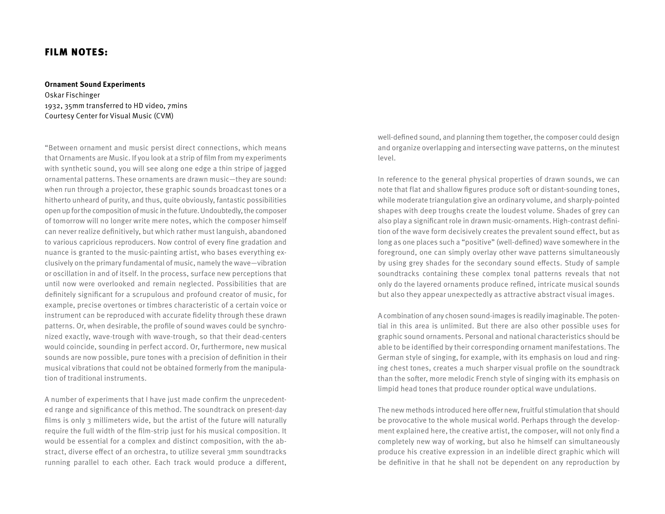# FILM NOTES:

#### **Ornament Sound Experiments**

Oskar Fischinger 1932, 35mm transferred to HD video, 7mins Courtesy Center for Visual Music (CVM)

"Between ornament and music persist direct connections, which means that Ornaments are Music. If you look at a strip of film from my experiments with synthetic sound, you will see along one edge a thin stripe of jagged ornamental patterns. These ornaments are drawn music—they are sound: when run through a projector, these graphic sounds broadcast tones or a hitherto unheard of purity, and thus, quite obviously, fantastic possibilities open up for the composition of music in the future. Undoubtedly, the composer of tomorrow will no longer write mere notes, which the composer himself can never realize definitively, but which rather must languish, abandoned to various capricious reproducers. Now control of every fine gradation and nuance is granted to the music-painting artist, who bases everything exclusively on the primary fundamental of music, namely the wave—vibration or oscillation in and of itself. In the process, surface new perceptions that until now were overlooked and remain neglected. Possibilities that are definitely significant for a scrupulous and profound creator of music, for example, precise overtones or timbres characteristic of a certain voice or instrument can be reproduced with accurate fidelity through these drawn patterns. Or, when desirable, the profile of sound waves could be synchronized exactly, wave-trough with wave-trough, so that their dead-centers would coincide, sounding in perfect accord. Or, furthermore, new musical sounds are now possible, pure tones with a precision of definition in their musical vibrations that could not be obtained formerly from the manipulation of traditional instruments.

A number of experiments that I have just made confirm the unprecedented range and significance of this method. The soundtrack on present-day films is only 3 millimeters wide, but the artist of the future will naturally require the full width of the film-strip just for his musical composition. It would be essential for a complex and distinct composition, with the abstract, diverse effect of an orchestra, to utilize several 3mm soundtracks running parallel to each other. Each track would produce a different,

well-defined sound, and planning them together, the composer could design and organize overlapping and intersecting wave patterns, on the minutest level.

In reference to the general physical properties of drawn sounds, we can note that flat and shallow figures produce soft or distant-sounding tones, while moderate triangulation give an ordinary volume, and sharply-pointed shapes with deep troughs create the loudest volume. Shades of grey can also play a significant role in drawn music-ornaments. High-contrast definition of the wave form decisively creates the prevalent sound effect, but as long as one places such a "positive" (well-defined) wave somewhere in the foreground, one can simply overlay other wave patterns simultaneously by using grey shades for the secondary sound effects. Study of sample soundtracks containing these complex tonal patterns reveals that not only do the layered ornaments produce refined, intricate musical sounds but also they appear unexpectedly as attractive abstract visual images.

A combination of any chosen sound-images is readily imaginable. The potential in this area is unlimited. But there are also other possible uses for graphic sound ornaments. Personal and national characteristics should be able to be identified by their corresponding ornament manifestations. The German style of singing, for example, with its emphasis on loud and ringing chest tones, creates a much sharper visual profile on the soundtrack than the softer, more melodic French style of singing with its emphasis on limpid head tones that produce rounder optical wave undulations.

The new methods introduced here offer new, fruitful stimulation that should be provocative to the whole musical world. Perhaps through the development explained here, the creative artist, the composer, will not only find a completely new way of working, but also he himself can simultaneously produce his creative expression in an indelible direct graphic which will be definitive in that he shall not be dependent on any reproduction by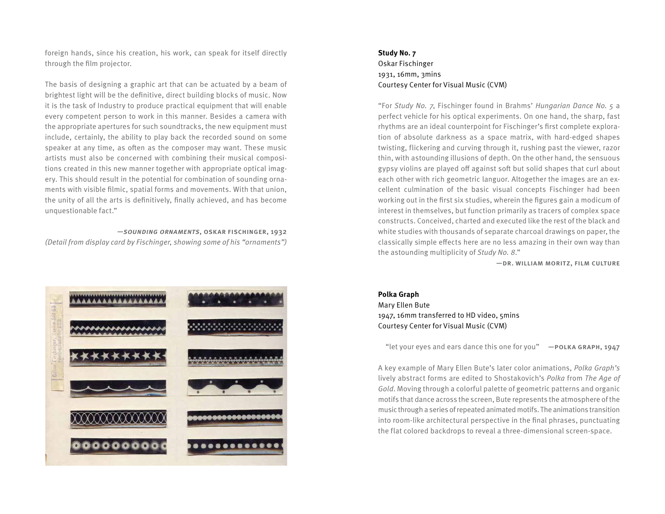foreign hands, since his creation, his work, can speak for itself directly through the film projector.

The basis of designing a graphic art that can be actuated by a beam of brightest light will be the definitive, direct building blocks of music. Now it is the task of Industry to produce practical equipment that will enable every competent person to work in this manner. Besides a camera with the appropriate apertures for such soundtracks, the new equipment must include, certainly, the ability to play back the recorded sound on some speaker at any time, as often as the composer may want. These music artists must also be concerned with combining their musical compositions created in this new manner together with appropriate optical imagery. This should result in the potential for combination of sounding ornaments with visible filmic, spatial forms and movements. With that union, the unity of all the arts is definitively, finally achieved, and has become unquestionable fact."

—sounding ornaments, oskar fischinger, 1932

(Detail from display card by Fischinger, showing some of his "ornaments")



# **Study No. 7**  Oskar Fischinger 1931, 16mm, 3mins Courtesy Center for Visual Music (CVM)

"For Study No. 7, Fischinger found in Brahms' Hungarian Dance No. 5 a perfect vehicle for his optical experiments. On one hand, the sharp, fast rhythms are an ideal counterpoint for Fischinger's first complete exploration of absolute darkness as a space matrix, with hard-edged shapes twisting, flickering and curving through it, rushing past the viewer, razor thin, with astounding illusions of depth. On the other hand, the sensuous gypsy violins are played off against soft but solid shapes that curl about each other with rich geometric languor. Altogether the images are an excellent culmination of the basic visual concepts Fischinger had been working out in the first six studies, wherein the figures gain a modicum of interest in themselves, but function primarily as tracers of complex space constructs. Conceived, charted and executed like the rest of the black and white studies with thousands of separate charcoal drawings on paper, the classically simple effects here are no less amazing in their own way than the astounding multiplicity of Study No. 8."

—dr. william moritz, film culture

#### **Polka Graph**

Mary Ellen Bute 1947, 16mm transferred to HD video, 5mins Courtesy Center for Visual Music (CVM)

"let your eyes and ears dance this one for you"  $-$  POLKA GRAPH, 1947

A key example of Mary Ellen Bute's later color animations, Polka Graph's lively abstract forms are edited to Shostakovich's Polka from The Age of Gold. Moving through a colorful palette of geometric patterns and organic motifs that dance across the screen, Bute represents the atmosphere of the music through a series of repeated animated motifs. The animations transition into room-like architectural perspective in the final phrases, punctuating the flat colored backdrops to reveal a three-dimensional screen-space.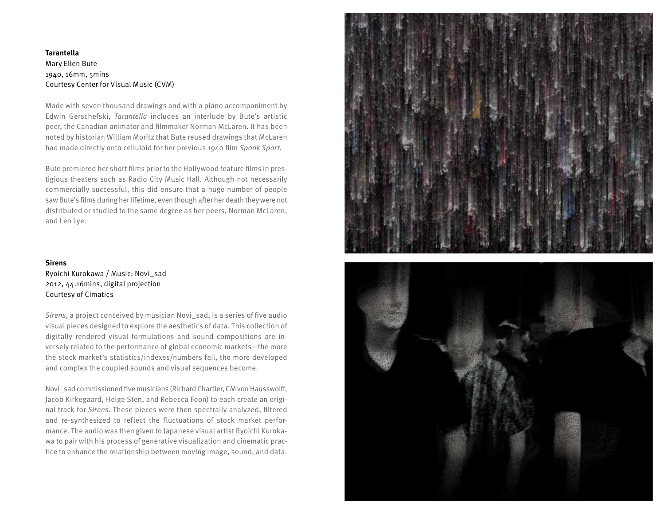# **Tarantella**  Mary Ellen Bute 1940, 16mm, 5mins Courtesy Center for Visual Music (CVM)

Made with seven thousand drawings and with a piano accompaniment by Edwin Gerschefski, Tarantella includes an interlude by Bute's artistic peer, the Canadian animator and filmmaker Norman McLaren. It has been noted by historian William Moritz that Bute reused drawings that McLaren had made directly onto celluloid for her previous 1940 film Spook Sport.

Bute premiered her short films prior to the Hollywood feature films in prestigious theaters such as Radio City Music Hall. Although not necessarily commercially successful, this did ensure that a huge number of people saw Bute's films during her lifetime, even though after her death they were not distributed or studied to the same degree as her peers, Norman McLaren, and Len Lye.

#### **Sirens**

Ryoichi Kurokawa / Music: Novi\_sad 2012, 44.16mins, digital projection Courtesy of Cimatics

Sirens, a project conceived by musician Novi\_sad, is a series of five audio visual pieces designed to explore the aesthetics of data. This collection of digitally rendered visual formulations and sound compositions are inversely related to the performance of global economic markets—the more the stock market's statistics/indexes/numbers fail, the more developed and complex the coupled sounds and visual sequences become.

Novi\_sad commissioned five musicians (Richard Chartier, CM von Hausswolff, Jacob Kirkegaard, Helge Sten, and Rebecca Foon) to each create an original track for Sirens. These pieces were then spectrally analyzed, filtered and re-synthesized to reflect the fluctuations of stock market performance. The audio was then given to Japanese visual artist Ryoichi Kurokawa to pair with his process of generative visualization and cinematic practice to enhance the relationship between moving image, sound, and data.



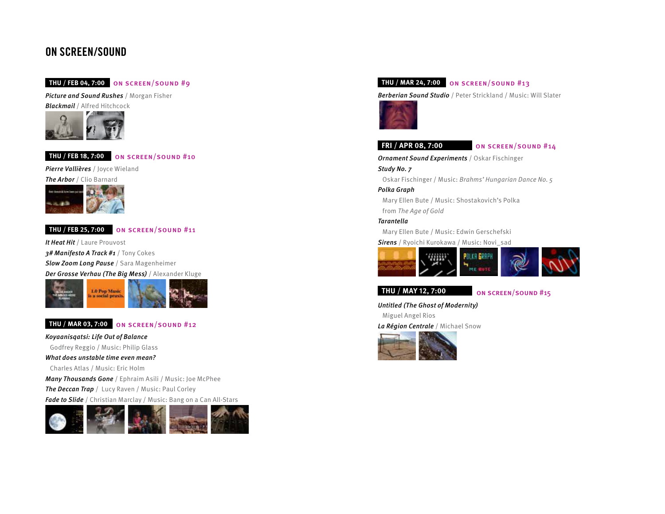# **ON SCREEN/SOUND**

# **THU / FEB 04, 7:00** on screen/sound #9

Picture and Sound Rushes / Morgan Fisher **Blackmail** / Alfred Hitchcock



**THU / FEB 18, 7:00** on screen/sound #10

Pierre Vallières / Joyce Wieland



# **THU / FEB 25, 7:00** on screen/sound #11

It Heat Hit / Laure Prouvost 3# Manifesto A Track #1 / Tony Cokes **Slow Zoom Long Pause / Sara Magenheimer** Der Grosse Verhau (The Big Mess) / Alexander Kluge



# **THU / MAR 03, 7:00** on screen/sound #12

Koyaanisqatsi: Life Out of Balance

Godfrey Reggio / Music: Philip Glass

What does unstable time even mean?

Charles Atlas / Music: Eric Holm

Many Thousands Gone / Ephraim Asili / Music: Joe McPhee The Deccan Trap / Lucy Raven / Music: Paul Corley Fade to Slide / Christian Marclay / Music: Bang on a Can All-Stars



# **THU / MAR 24, 7:00** on screen/sound #13

Berberian Sound Studio / Peter Strickland / Music: Will Slater



### **FRI / APR 08, 7:00** on screen/sound #14

**Ornament Sound Experiments / Oskar Fischinger** 

Study No. 7

Oskar Fischinger / Music: Brahms' Hungarian Dance No. 5

Polka Graph

Mary Ellen Bute / Music: Shostakovich's Polka from The Age of Gold

Tarantella

Mary Ellen Bute / Music: Edwin Gerschefski

Sirens / Ryoichi Kurokawa / Music: Novi\_sad



# **THU / MAY 12, 7:00** on screen/sound #15

Untitled (The Ghost of Modernity) Miguel Angel Rios

La Région Centrale / Michael Snow